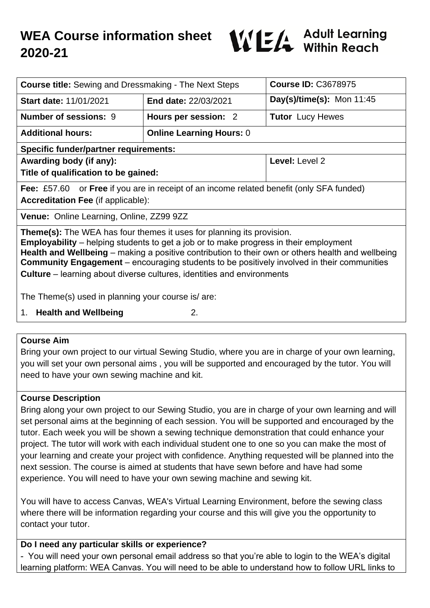# **WEA Course information sheet 2020-21**



| <b>Course title:</b> Sewing and Dressmaking - The Next Steps                                                                                                                                                                                                                                                                                                                                                                                                            |                                 | <b>Course ID: C3678975</b> |
|-------------------------------------------------------------------------------------------------------------------------------------------------------------------------------------------------------------------------------------------------------------------------------------------------------------------------------------------------------------------------------------------------------------------------------------------------------------------------|---------------------------------|----------------------------|
| <b>Start date: 11/01/2021</b>                                                                                                                                                                                                                                                                                                                                                                                                                                           | End date: 22/03/2021            | Day(s)/time(s): Mon 11:45  |
| <b>Number of sessions: 9</b>                                                                                                                                                                                                                                                                                                                                                                                                                                            | Hours per session: 2            | <b>Tutor</b> Lucy Hewes    |
| <b>Additional hours:</b>                                                                                                                                                                                                                                                                                                                                                                                                                                                | <b>Online Learning Hours: 0</b> |                            |
| <b>Specific funder/partner requirements:</b>                                                                                                                                                                                                                                                                                                                                                                                                                            |                                 |                            |
| Awarding body (if any):                                                                                                                                                                                                                                                                                                                                                                                                                                                 |                                 | Level: Level 2             |
| Title of qualification to be gained:                                                                                                                                                                                                                                                                                                                                                                                                                                    |                                 |                            |
| <b>Fee:</b> £57.60 or <b>Free</b> if you are in receipt of an income related benefit (only SFA funded)                                                                                                                                                                                                                                                                                                                                                                  |                                 |                            |
| <b>Accreditation Fee (if applicable):</b>                                                                                                                                                                                                                                                                                                                                                                                                                               |                                 |                            |
| <b>Venue: Online Learning, Online, ZZ99 9ZZ</b>                                                                                                                                                                                                                                                                                                                                                                                                                         |                                 |                            |
| <b>Theme(s):</b> The WEA has four themes it uses for planning its provision.<br><b>Employability</b> – helping students to get a job or to make progress in their employment<br>Health and Wellbeing – making a positive contribution to their own or others health and wellbeing<br><b>Community Engagement</b> – encouraging students to be positively involved in their communities<br><b>Culture</b> – learning about diverse cultures, identities and environments |                                 |                            |
| The Theme(s) used in planning your course is/ are:                                                                                                                                                                                                                                                                                                                                                                                                                      |                                 |                            |
| <b>Health and Wellbeing</b><br>2.<br>1.                                                                                                                                                                                                                                                                                                                                                                                                                                 |                                 |                            |

#### **Course Aim**

Bring your own project to our virtual Sewing Studio, where you are in charge of your own learning, you will set your own personal aims , you will be supported and encouraged by the tutor. You will need to have your own sewing machine and kit.

#### **Course Description**

Bring along your own project to our Sewing Studio, you are in charge of your own learning and will set personal aims at the beginning of each session. You will be supported and encouraged by the tutor. Each week you will be shown a sewing technique demonstration that could enhance your project. The tutor will work with each individual student one to one so you can make the most of your learning and create your project with confidence. Anything requested will be planned into the next session. The course is aimed at students that have sewn before and have had some experience. You will need to have your own sewing machine and sewing kit.

You will have to access Canvas, WEA's Virtual Learning Environment, before the sewing class where there will be information regarding your course and this will give you the opportunity to contact your tutor.

#### **Do I need any particular skills or experience?**

- You will need your own personal email address so that you're able to login to the WEA's digital learning platform: WEA Canvas. You will need to be able to understand how to follow URL links to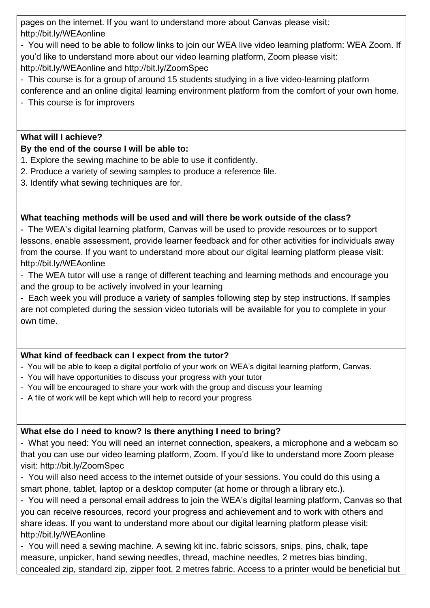pages on the internet. If you want to understand more about Canvas please visit: http://bit.ly/WEAonline

- You will need to be able to follow links to join our WEA live video learning platform: WEA Zoom. If you'd like to understand more about our video learning platform, Zoom please visit: http://bit.ly/WEAonline and http://bit.ly/ZoomSpec

- This course is for a group of around 15 students studying in a live video-learning platform
- conference and an online digital learning environment platform from the comfort of your own home. - This course is for improvers

# **What will I achieve?**

## **By the end of the course I will be able to:**

- 1. Explore the sewing machine to be able to use it confidently.
- 2. Produce a variety of sewing samples to produce a reference file.
- 3. Identify what sewing techniques are for.

## **What teaching methods will be used and will there be work outside of the class?**

- The WEA's digital learning platform, Canvas will be used to provide resources or to support lessons, enable assessment, provide learner feedback and for other activities for individuals away from the course. If you want to understand more about our digital learning platform please visit: http://bit.ly/WEAonline

- The WEA tutor will use a range of different teaching and learning methods and encourage you and the group to be actively involved in your learning

- Each week you will produce a variety of samples following step by step instructions. If samples are not completed during the session video tutorials will be available for you to complete in your own time.

# **What kind of feedback can I expect from the tutor?**

- You will be able to keep a digital portfolio of your work on WEA's digital learning platform, Canvas.
- You will have opportunities to discuss your progress with your tutor
- You will be encouraged to share your work with the group and discuss your learning
- A file of work will be kept which will help to record your progress

# **What else do I need to know? Is there anything I need to bring?**

- What you need: You will need an internet connection, speakers, a microphone and a webcam so that you can use our video learning platform, Zoom. If you'd like to understand more Zoom please visit: http://bit.ly/ZoomSpec

- You will also need access to the internet outside of your sessions. You could do this using a smart phone, tablet, laptop or a desktop computer (at home or through a library etc.).

- You will need a personal email address to join the WEA's digital learning platform, Canvas so that you can receive resources, record your progress and achievement and to work with others and share ideas. If you want to understand more about our digital learning platform please visit: http://bit.ly/WEAonline

- You will need a sewing machine. A sewing kit inc. fabric scissors, snips, pins, chalk, tape measure, unpicker, hand sewing needles, thread, machine needles, 2 metres bias binding, concealed zip, standard zip, zipper foot, 2 metres fabric. Access to a printer would be beneficial but